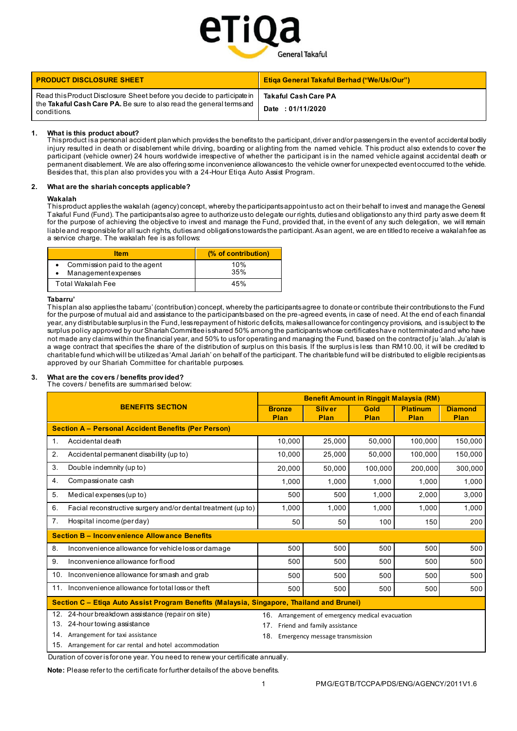

| <b>PRODUCT DISCLOSURE SHEET</b>                                                                                                                               | <b>Etiga General Takaful Berhad ("We/Us/Our")</b> |
|---------------------------------------------------------------------------------------------------------------------------------------------------------------|---------------------------------------------------|
| Read this Product Disclosure Sheet before you decide to participate in<br>the Takaful Cash Care PA. Be sure to also read the general terms and<br>conditions. | <b>Takaful Cash Care PA</b><br>Date: 01/11/2020   |

## **1. What is this product about?**

This product is a personal accident plan which provides the benefits to the participant, driver and/or passengers in the event of accidental bodily injury resulted in death or disablement while driving, boarding or alighting from the named vehicle. This product also extends to cover the participant (vehicle owner) 24 hours worldwide irrespective of whether the participant is in the named vehicle against accidental death or permanent disablement. We are also offering some inconvenience allowances to the vehicle owner for unexpected event occurred to the vehicle. Besides that, this plan also provides you with a 24-Hour Etiqa Auto Assist Program.

### **2. What are the shariah concepts applicable?**

#### **Wakalah**

This product applies the wakalah (agency) concept, whereby the participants appoint us to act on their behalf to invest and manage the General Takaful Fund (Fund). The participants also agree to authorize us to delegate our rights, duties and obligations to any third party as we deem fit for the purpose of achieving the objective to invest and manage the Fund, provided that, in the event of any such delegation, we will remain liable and responsible for all such rights, duties and obligations towards the participant. As an agent, we are en titled to receive a wakalah fee as a service charge. The wakalah fee is as follows:

| <b>Ifem</b>                                        | (% of contribution) |
|----------------------------------------------------|---------------------|
| Commission paid to the agent<br>Managementexpenses | 10%<br>35%          |
| Total Wakalah Fee                                  | 45%                 |

### **Tabarru'**

This plan also applies the tabarru' (contribution) concept, whereby the participants agree to donate or contribute their contributions to the Fund for the purpose of mutual aid and assistance to the participants based on the pre -agreed events, in case of need. At the end of each financial year, any distributable surplus in the Fund, less repayment of historic deficits, makes allowance for contingency provisions, and is subject to the surplus policy approved by our Shariah Committee is shared 50% among the participants whose certificates have not terminated and who have not made any claims within the financial year, and 50% to us for operating and managing the Fund, based on the contract of ju 'alah. Ju'alah is a wage contract that specifies the share of the distribution of surplus on this basis. If the surplus is less than RM10.00, it will be credited to charitable fund which will be utilized as 'Amal Jariah' on behalf of the participant. The charitable fund will be distributed to eligible recipients as approved by our Shariah Committee for charitable purposes.

# **3. What are the cov ers / benefits prov ided?**

The covers / benefits are summarised below:

| <b>BENEFITS SECTION</b>                                                                   |                                                               | <b>Benefit Amount in Ringgit Malaysia (RM)</b> |                                                 |              |                         |                        |
|-------------------------------------------------------------------------------------------|---------------------------------------------------------------|------------------------------------------------|-------------------------------------------------|--------------|-------------------------|------------------------|
|                                                                                           |                                                               | <b>Bronze</b><br>Plan                          | <b>Silver</b><br>Plan                           | Gold<br>Plan | <b>Platinum</b><br>Plan | <b>Diamond</b><br>Plan |
|                                                                                           | <b>Section A - Personal Accident Benefits (Per Person)</b>    |                                                |                                                 |              |                         |                        |
| $\mathbf 1$ .                                                                             | Accidental death                                              | 10,000                                         | 25,000                                          | 50,000       | 100,000                 | 150,000                |
| 2.                                                                                        | Accidental permanent disability (up to)                       | 10,000                                         | 25,000                                          | 50,000       | 100,000                 | 150,000                |
| 3.                                                                                        | Double indemnity (up to)                                      | 20,000                                         | 50,000                                          | 100,000      | 200,000                 | 300,000                |
| 4.                                                                                        | Compassionate cash                                            | 1.000                                          | 1,000                                           | 1,000        | 1,000                   | 1,000                  |
| 5.                                                                                        | Medical expenses (up to)                                      | 500                                            | 500                                             | 1,000        | 2,000                   | 3,000                  |
| 6.                                                                                        | Facial reconstructive surgery and/or dental treatment (up to) | 1,000                                          | 1,000                                           | 1,000        | 1,000                   | 1,000                  |
| 7.                                                                                        | Hospital income (per day)                                     | 50                                             | 50                                              | 100          | 150                     | 200                    |
|                                                                                           | <b>Section B - Inconvenience Allowance Benefits</b>           |                                                |                                                 |              |                         |                        |
| 8.                                                                                        | Inconvenience allowance for vehicle loss or damage            | 500                                            | 500                                             | 500          | 500                     | 500                    |
| 9.                                                                                        | Inconvenience allowance for flood                             | 500                                            | 500                                             | 500          | 500                     | 500                    |
| 10.                                                                                       | Inconvenience allowance for smash and grab                    | 500                                            | 500                                             | 500          | 500                     | 500                    |
| 11 <sub>1</sub>                                                                           | Inconvenience allowance for total loss or theft               | 500                                            | 500                                             | 500          | 500                     | 500                    |
| Section C – Etiga Auto Assist Program Benefits (Malaysia, Singapore, Thailand and Brunei) |                                                               |                                                |                                                 |              |                         |                        |
|                                                                                           | 12. 24-hour breakdown assistance (repair on site)             |                                                | 16. Arrangement of emergency medical evacuation |              |                         |                        |
|                                                                                           | 13. 24-hour towing assistance                                 | 17.                                            | Friend and family assistance                    |              |                         |                        |
|                                                                                           | 14. Arrangement for taxi assistance                           |                                                | 18. Emergency message transmission              |              |                         |                        |

- 15. Arrangement for car rental and hotel accommodation
- 

Duration of cover is for one year. You need to renew your certificate annually.

**Note:** Please refer to the certificate for further details of the above benefits.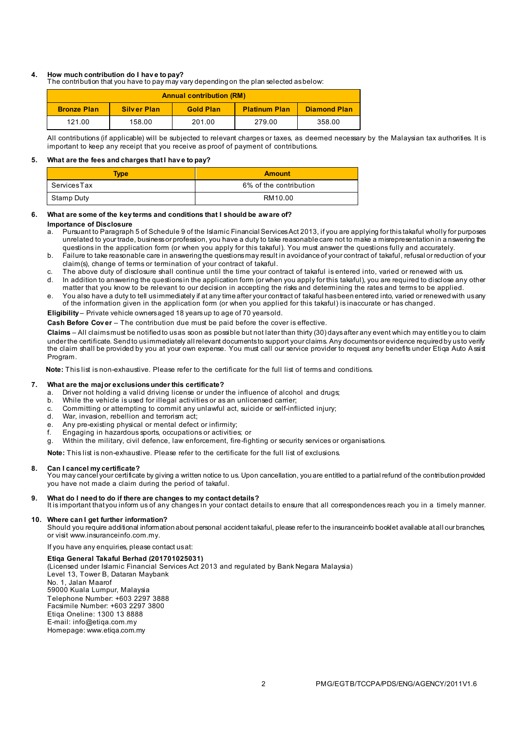# **4. How much contribution do I hav e to pay?**

The contribution that you have to pay may vary depending on the plan selected as below:

| <b>Annual contribution (RM)</b> |                    |                  |                      |                     |
|---------------------------------|--------------------|------------------|----------------------|---------------------|
| <b>Bronze Plan</b>              | <b>Silver Plan</b> | <b>Gold Plan</b> | <b>Platinum Plan</b> | <b>Diamond Plan</b> |
| 121.00                          | 158.00             | 201.00           | 279.00               | 358.00              |

All contributions (if applicable) will be subjected to relevant charges or taxes, as deemed necessary by the Malaysian tax authorities. It is important to keep any receipt that you receive as proof of payment of contributions.

#### **5. What are the fees and charges that I hav e to pay?**

| <b>Type</b> | <b>Amount</b>          |
|-------------|------------------------|
| ServicesTax | 6% of the contribution |
| Stamp Duty  | RM10.00                |

# **6. What are some of the key terms and conditions that I should be aware of?**

#### **Importance of Disclosure**

- a. Pursuant to Paragraph 5 of Schedule 9 of the Islamic Financial Services Act 2013, if you are applying for this takaful wholly for purposes unrelated to your trade, business or profession, you have a duty to take reasonable care not to make a misrepresentation in a nswering the questions in the application form (or when you apply for this takaful). You must answer the questions fully and accurately.
- b. Failure to take reasonable care in answering the questions may result in avoidance of your contract of takaful, refusal or reduction of your claim(s), change of terms or termination of your contract of takaful.
- c. The above duty of disclosure shall continue until the time your contract of takaful is entered into, varied or renewed with us.
- In addition to answering the questions in the application form (or when you apply for this takaful), you are required to disclose any other matter that you know to be relevant to our decision in accepting the risks and determining the rates and terms to be applied.
- e. You also have a duty to tell us immediately if at any time after your contract of takaful has been entered into, varied or renewed with us any of the information given in the application form (or when you applied for this takaful) is inaccurate or has changed.

**Eligibility** – Private vehicle owners aged 18 years up to age of 70 years old.

**Cash Before Cov er** – The contribution due must be paid before the cover is effective.

**Claims** – All claims must be notified to us as soon as possible but not later than thirty (30) days after any event which may entitle y ou to claim under the certificate. Send to us immediately all relevant documents to support your claims. Any documents or evidence required by us to verify the claim shall be provided by you at your own expense. You must call our service provider to request any benefits under Etiqa Auto Assist Program.

**Note:** This list is non-exhaustive. Please refer to the certificate for the full list of terms and conditions.

### **7. What are the major exclusions under this certificate?**

- a. Driver not holding a valid driving license or under the influence of alcohol and drugs;
- b. While the vehicle is used for illegal activities or as an unlicensed carrier;
- c. Committing or attempting to commit any unlawful act, suicide or self-inflicted injury;<br>d. War invasion, rebellion and terrorism act:
- War, invasion, rebellion and terrorism act;
- e. Any pre-existing physical or mental defect or infirmity;
- f. Engaging in hazardous sports, occupations or activities; or
- g. Within the military, civil defence, law enforcement, fire-fighting or security services or organisations.

**Note:** This list is non-exhaustive. Please refer to the certificate for the full list of exclusions.

#### **8. Can I cancel my certificate?**

You may cancel your certificate by giving a written notice to us. Upon cancellation, you are entitled to a partial refund of the contribution provided you have not made a claim during the period of takaful.

# **9. What do I need to do if there are changes to my contact details?**

It is important that you inform us of any changes in your contact details to ensure that all correspondences reach you in a timely manner.

## **10. Where can I get further information?**

Should you require additional information about personal accident takaful, please refer to the insuranceinfo booklet available at all our branches, or visit www.insuranceinfo.com.my.

If you have any enquiries, please contact us at:

#### **Etiqa General Takaful Berhad (201701025031)**

(Licensed under Islamic Financial Services Act 2013 and regulated by Bank Negara Malaysia) Level 13, Tower B, Dataran Maybank No. 1, Jalan Maarof 59000 Kuala Lumpur, Malaysia Telephone Number: +603 2297 3888 Facsimile Number: +603 2297 3800 Etiqa Oneline: 1300 13 8888 E-mail[: info@etiqa.com.m](mailto:info@etiqa.com.my)y Homepag[e: www.etiqa.com.my](http://www.etiqa.com.my/)